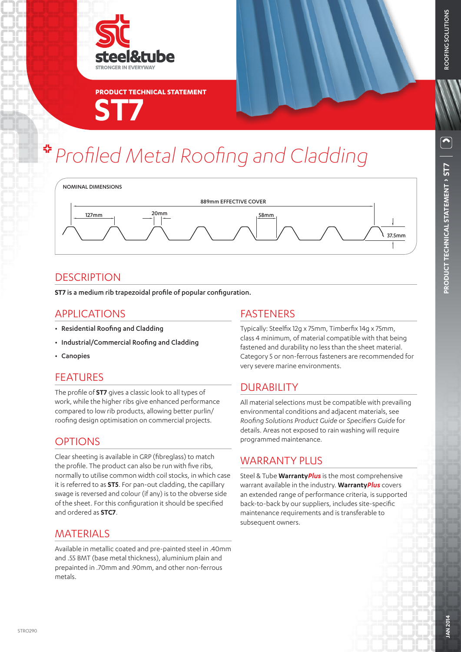

**ST7 PRODUCT TECHNICAL STATEMENT**

# *Profiled Metal Roofing and Cladding*



#### **DESCRIPTION**

**ST7** is a medium rib trapezoidal profile of popular configuration.

#### APPLICATIONS

- Residential Roofing and Cladding
- Industrial/Commercial Roofing and Cladding
- Canopies

#### FEATURES

The profile of **ST7** gives a classic look to all types of work, while the higher ribs give enhanced performance compared to low rib products, allowing better purlin/ roofing design optimisation on commercial projects.

#### **OPTIONS**

Clear sheeting is available in GRP (fibreglass) to match the profile. The product can also be run with five ribs, normally to utilise common width coil stocks, in which case it is referred to as **ST5**. For pan-out cladding, the capillary swage is reversed and colour (if any) is to the obverse side of the sheet. For this configuration it should be specified and ordered as **STC7**.

#### MATERIALS

Available in metallic coated and pre-painted steel in .40mm and .55 BMT (base metal thickness), aluminium plain and prepainted in .70mm and .90mm, and other non-ferrous metals.

#### FASTENERS

Typically: Steelfix 12g x 75mm, Timberfix 14g x 75mm, class 4 minimum, of material compatible with that being fastened and durability no less than the sheet material. Category 5 or non-ferrous fasteners are recommended for very severe marine environments.

# DURABILITY

All material selections must be compatible with prevailing environmental conditions and adjacent materials, see *Roofing Solutions Product Guide* or *Specifiers Guide* for details. Areas not exposed to rain washing will require programmed maintenance.

#### WARRANTY PLUS

Steel & Tube **Warranty***Plus* is the most comprehensive warrant available in the industry. **Warranty***Plus* covers an extended range of performance criteria, is supported back-to-back by our suppliers, includes site-specific maintenance requirements and is transferable to subsequent owners.